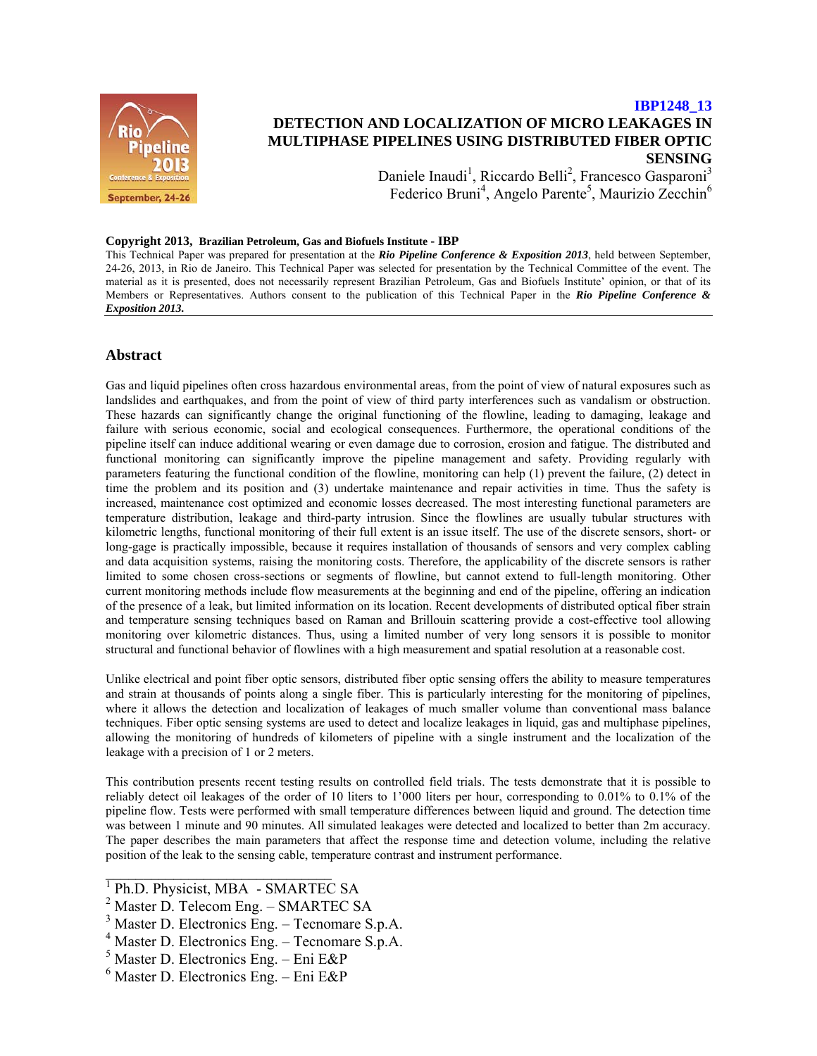

# **IBP1248\_13 DETECTION AND LOCALIZATION OF MICRO LEAKAGES IN MULTIPHASE PIPELINES USING DISTRIBUTED FIBER OPTIC SENSING**

Daniele Inaudi<sup>1</sup>, Riccardo Belli<sup>2</sup>, Francesco Gasparoni<sup>3</sup> Federico Bruni<sup>4</sup>, Angelo Parente<sup>5</sup>, Maurizio Zecchin<sup>6</sup>

### **Copyright 2013, Brazilian Petroleum, Gas and Biofuels Institute - IBP**

This Technical Paper was prepared for presentation at the *Rio Pipeline Conference & Exposition 2013*, held between September, 24-26, 2013, in Rio de Janeiro. This Technical Paper was selected for presentation by the Technical Committee of the event. The material as it is presented, does not necessarily represent Brazilian Petroleum, Gas and Biofuels Institute' opinion, or that of its Members or Representatives. Authors consent to the publication of this Technical Paper in the *Rio Pipeline Conference & Exposition 2013.* 

#### **Abstract**

Gas and liquid pipelines often cross hazardous environmental areas, from the point of view of natural exposures such as landslides and earthquakes, and from the point of view of third party interferences such as vandalism or obstruction. These hazards can significantly change the original functioning of the flowline, leading to damaging, leakage and failure with serious economic, social and ecological consequences. Furthermore, the operational conditions of the pipeline itself can induce additional wearing or even damage due to corrosion, erosion and fatigue. The distributed and functional monitoring can significantly improve the pipeline management and safety. Providing regularly with parameters featuring the functional condition of the flowline, monitoring can help (1) prevent the failure, (2) detect in time the problem and its position and (3) undertake maintenance and repair activities in time. Thus the safety is increased, maintenance cost optimized and economic losses decreased. The most interesting functional parameters are temperature distribution, leakage and third-party intrusion. Since the flowlines are usually tubular structures with kilometric lengths, functional monitoring of their full extent is an issue itself. The use of the discrete sensors, short- or long-gage is practically impossible, because it requires installation of thousands of sensors and very complex cabling and data acquisition systems, raising the monitoring costs. Therefore, the applicability of the discrete sensors is rather limited to some chosen cross-sections or segments of flowline, but cannot extend to full-length monitoring. Other current monitoring methods include flow measurements at the beginning and end of the pipeline, offering an indication of the presence of a leak, but limited information on its location. Recent developments of distributed optical fiber strain and temperature sensing techniques based on Raman and Brillouin scattering provide a cost-effective tool allowing monitoring over kilometric distances. Thus, using a limited number of very long sensors it is possible to monitor structural and functional behavior of flowlines with a high measurement and spatial resolution at a reasonable cost.

Unlike electrical and point fiber optic sensors, distributed fiber optic sensing offers the ability to measure temperatures and strain at thousands of points along a single fiber. This is particularly interesting for the monitoring of pipelines, where it allows the detection and localization of leakages of much smaller volume than conventional mass balance techniques. Fiber optic sensing systems are used to detect and localize leakages in liquid, gas and multiphase pipelines, allowing the monitoring of hundreds of kilometers of pipeline with a single instrument and the localization of the leakage with a precision of 1 or 2 meters.

This contribution presents recent testing results on controlled field trials. The tests demonstrate that it is possible to reliably detect oil leakages of the order of 10 liters to 1'000 liters per hour, corresponding to 0.01% to 0.1% of the pipeline flow. Tests were performed with small temperature differences between liquid and ground. The detection time was between 1 minute and 90 minutes. All simulated leakages were detected and localized to better than 2m accuracy. The paper describes the main parameters that affect the response time and detection volume, including the relative position of the leak to the sensing cable, temperature contrast and instrument performance.

- <sup>1</sup> Ph.D. Physicist, MBA SMARTEC SA
- 
- 
- <sup>2</sup> Master D. Telecom Eng. SMARTEC SA<br><sup>3</sup> Master D. Electronics Eng. Tecnomare S.p.A.<br><sup>4</sup> Master D. Electronics Eng. Eni E&P<br><sup>5</sup> Master D. Electronics Eng. Eni E&P
- 
- 6 Master D. Electronics Eng. Eni E&P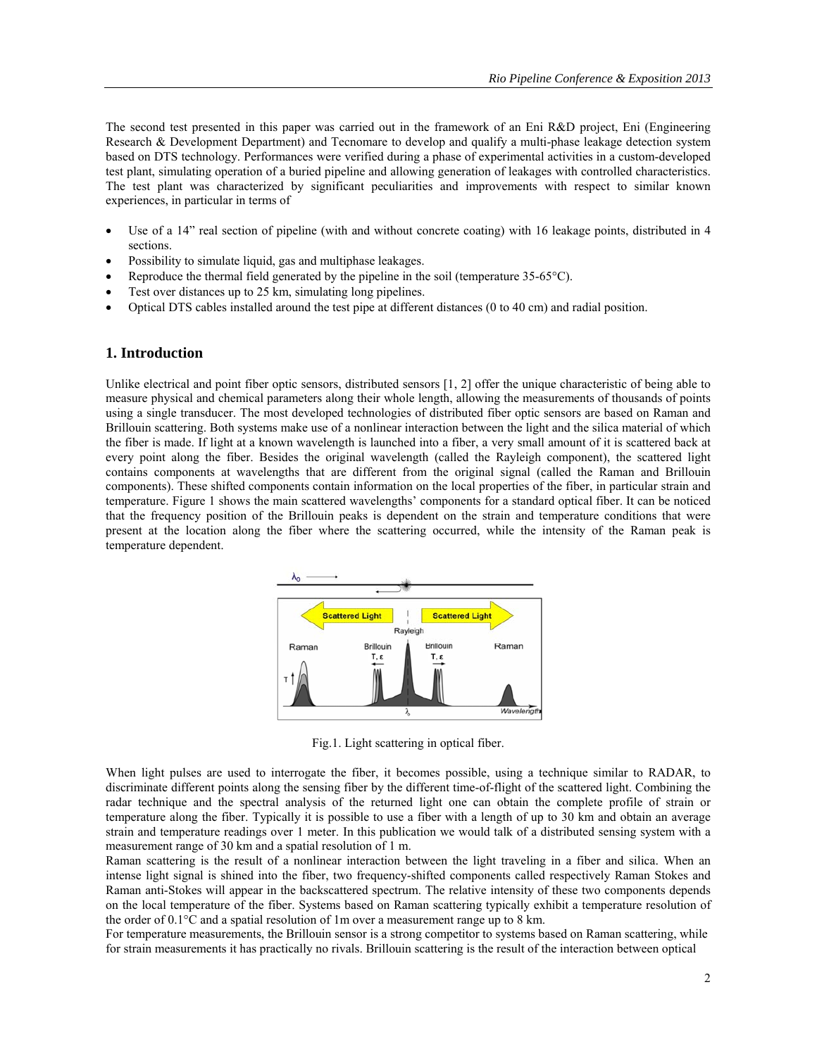The second test presented in this paper was carried out in the framework of an Eni R&D project, Eni (Engineering Research & Development Department) and Tecnomare to develop and qualify a multi-phase leakage detection system based on DTS technology. Performances were verified during a phase of experimental activities in a custom-developed test plant, simulating operation of a buried pipeline and allowing generation of leakages with controlled characteristics. The test plant was characterized by significant peculiarities and improvements with respect to similar known experiences, in particular in terms of

- Use of a 14" real section of pipeline (with and without concrete coating) with 16 leakage points, distributed in 4 sections.
- Possibility to simulate liquid, gas and multiphase leakages.
- Reproduce the thermal field generated by the pipeline in the soil (temperature 35-65°C).
- Test over distances up to 25 km, simulating long pipelines.
- Optical DTS cables installed around the test pipe at different distances (0 to 40 cm) and radial position.

## **1. Introduction**

Unlike electrical and point fiber optic sensors, distributed sensors [1, 2] offer the unique characteristic of being able to measure physical and chemical parameters along their whole length, allowing the measurements of thousands of points using a single transducer. The most developed technologies of distributed fiber optic sensors are based on Raman and Brillouin scattering. Both systems make use of a nonlinear interaction between the light and the silica material of which the fiber is made. If light at a known wavelength is launched into a fiber, a very small amount of it is scattered back at every point along the fiber. Besides the original wavelength (called the Rayleigh component), the scattered light contains components at wavelengths that are different from the original signal (called the Raman and Brillouin components). These shifted components contain information on the local properties of the fiber, in particular strain and temperature. Figure 1 shows the main scattered wavelengths' components for a standard optical fiber. It can be noticed that the frequency position of the Brillouin peaks is dependent on the strain and temperature conditions that were present at the location along the fiber where the scattering occurred, while the intensity of the Raman peak is temperature dependent.



Fig.1. Light scattering in optical fiber.

When light pulses are used to interrogate the fiber, it becomes possible, using a technique similar to RADAR, to discriminate different points along the sensing fiber by the different time-of-flight of the scattered light. Combining the radar technique and the spectral analysis of the returned light one can obtain the complete profile of strain or temperature along the fiber. Typically it is possible to use a fiber with a length of up to 30 km and obtain an average strain and temperature readings over 1 meter. In this publication we would talk of a distributed sensing system with a measurement range of 30 km and a spatial resolution of 1 m.

Raman scattering is the result of a nonlinear interaction between the light traveling in a fiber and silica. When an intense light signal is shined into the fiber, two frequency-shifted components called respectively Raman Stokes and Raman anti-Stokes will appear in the backscattered spectrum. The relative intensity of these two components depends on the local temperature of the fiber. Systems based on Raman scattering typically exhibit a temperature resolution of the order of 0.1°C and a spatial resolution of 1m over a measurement range up to 8 km.

For temperature measurements, the Brillouin sensor is a strong competitor to systems based on Raman scattering, while for strain measurements it has practically no rivals. Brillouin scattering is the result of the interaction between optical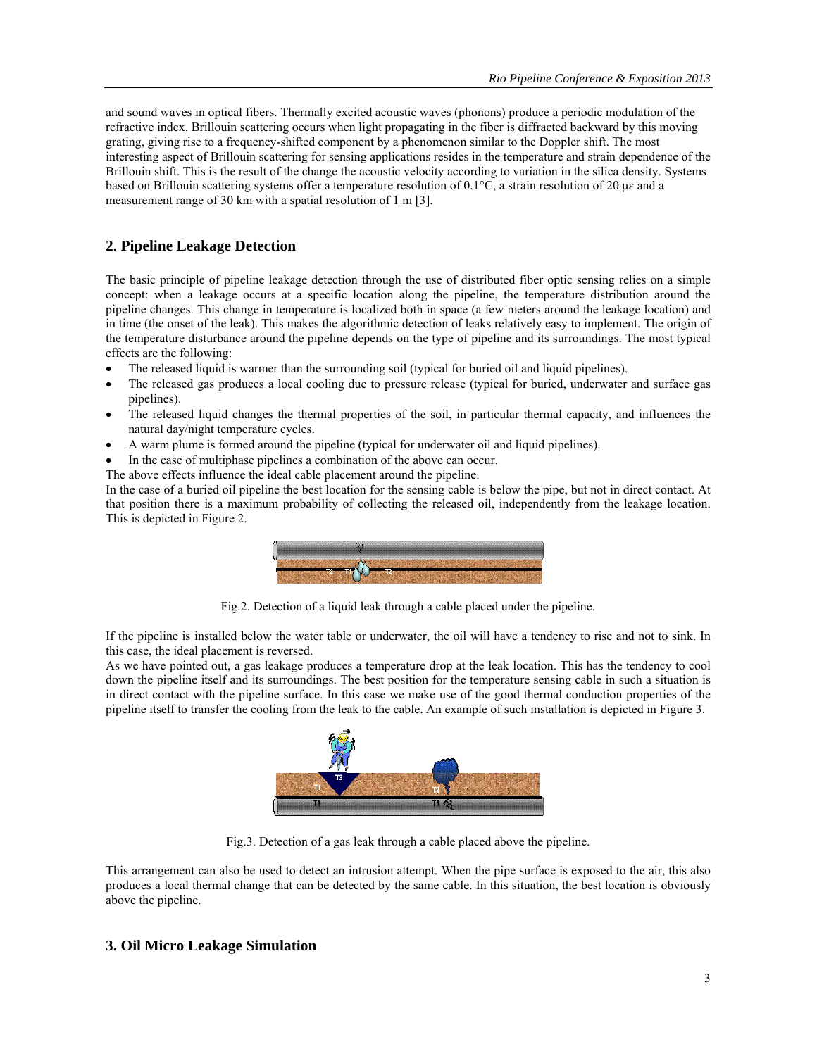and sound waves in optical fibers. Thermally excited acoustic waves (phonons) produce a periodic modulation of the refractive index. Brillouin scattering occurs when light propagating in the fiber is diffracted backward by this moving grating, giving rise to a frequency-shifted component by a phenomenon similar to the Doppler shift. The most interesting aspect of Brillouin scattering for sensing applications resides in the temperature and strain dependence of the Brillouin shift. This is the result of the change the acoustic velocity according to variation in the silica density. Systems based on Brillouin scattering systems offer a temperature resolution of 0.1 $^{\circ}$ C, a strain resolution of 20 με and a measurement range of 30 km with a spatial resolution of 1 m [3].

# **2. Pipeline Leakage Detection**

The basic principle of pipeline leakage detection through the use of distributed fiber optic sensing relies on a simple concept: when a leakage occurs at a specific location along the pipeline, the temperature distribution around the pipeline changes. This change in temperature is localized both in space (a few meters around the leakage location) and in time (the onset of the leak). This makes the algorithmic detection of leaks relatively easy to implement. The origin of the temperature disturbance around the pipeline depends on the type of pipeline and its surroundings. The most typical effects are the following:

- The released liquid is warmer than the surrounding soil (typical for buried oil and liquid pipelines).
- The released gas produces a local cooling due to pressure release (typical for buried, underwater and surface gas pipelines).
- The released liquid changes the thermal properties of the soil, in particular thermal capacity, and influences the natural day/night temperature cycles.
- A warm plume is formed around the pipeline (typical for underwater oil and liquid pipelines).
- In the case of multiphase pipelines a combination of the above can occur.
- The above effects influence the ideal cable placement around the pipeline.

In the case of a buried oil pipeline the best location for the sensing cable is below the pipe, but not in direct contact. At that position there is a maximum probability of collecting the released oil, independently from the leakage location. This is depicted in Figure 2.



Fig.2. Detection of a liquid leak through a cable placed under the pipeline.

If the pipeline is installed below the water table or underwater, the oil will have a tendency to rise and not to sink. In this case, the ideal placement is reversed.

As we have pointed out, a gas leakage produces a temperature drop at the leak location. This has the tendency to cool down the pipeline itself and its surroundings. The best position for the temperature sensing cable in such a situation is in direct contact with the pipeline surface. In this case we make use of the good thermal conduction properties of the pipeline itself to transfer the cooling from the leak to the cable. An example of such installation is depicted in Figure 3.



Fig.3. Detection of a gas leak through a cable placed above the pipeline.

This arrangement can also be used to detect an intrusion attempt. When the pipe surface is exposed to the air, this also produces a local thermal change that can be detected by the same cable. In this situation, the best location is obviously above the pipeline.

# **3. Oil Micro Leakage Simulation**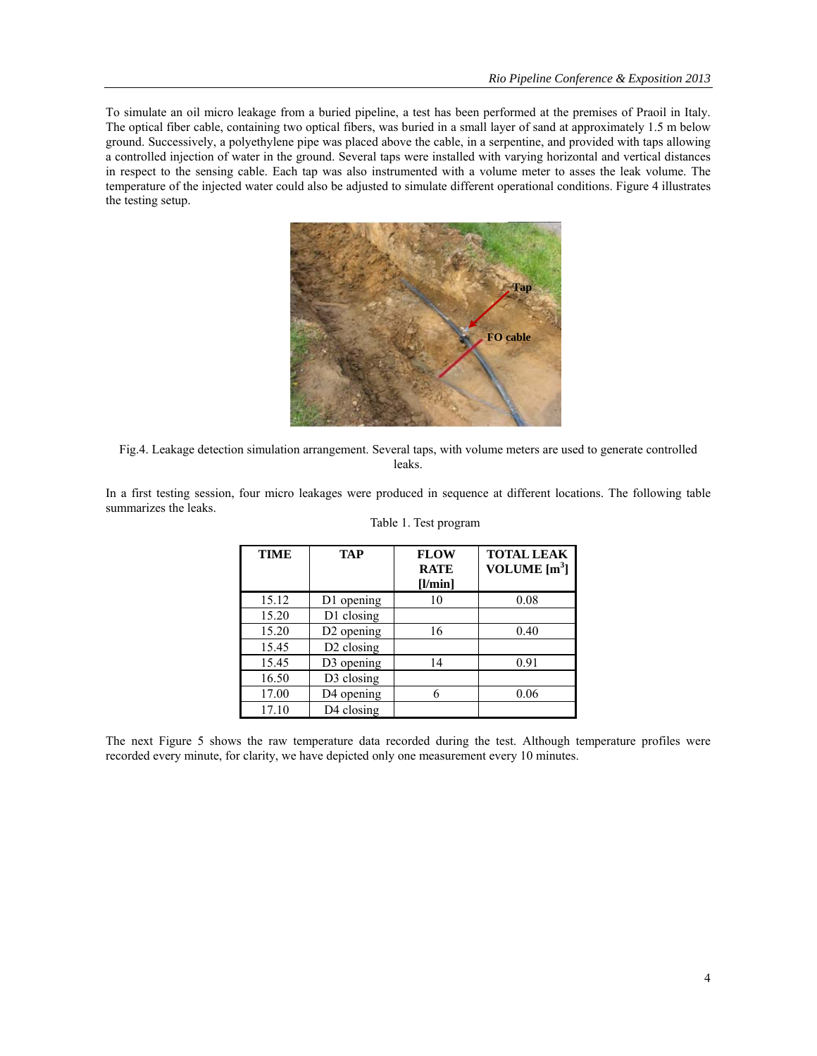To simulate an oil micro leakage from a buried pipeline, a test has been performed at the premises of Praoil in Italy. The optical fiber cable, containing two optical fibers, was buried in a small layer of sand at approximately 1.5 m below ground. Successively, a polyethylene pipe was placed above the cable, in a serpentine, and provided with taps allowing a controlled injection of water in the ground. Several taps were installed with varying horizontal and vertical distances in respect to the sensing cable. Each tap was also instrumented with a volume meter to asses the leak volume. The temperature of the injected water could also be adjusted to simulate different operational conditions. Figure 4 illustrates the testing setup.



Fig.4. Leakage detection simulation arrangement. Several taps, with volume meters are used to generate controlled leaks.

In a first testing session, four micro leakages were produced in sequence at different locations. The following table summarizes the leaks.

| <b>TIME</b> | TAP                    | <b>FLOW</b><br><b>RATE</b><br>[1/min] | <b>TOTAL LEAK</b><br>VOLUME $[m^3]$ |
|-------------|------------------------|---------------------------------------|-------------------------------------|
| 15.12       | D1 opening             | 10                                    | 0.08                                |
| 15.20       | D1 closing             |                                       |                                     |
| 15.20       | D <sub>2</sub> opening | 16                                    | 0.40                                |
| 15.45       | D2 closing             |                                       |                                     |
| 15.45       | D3 opening             | 14                                    | 0.91                                |
| 16.50       | D3 closing             |                                       |                                     |
| 17.00       | D <sub>4</sub> opening | 6                                     | 0.06                                |
| 17.10       | D <sub>4</sub> closing |                                       |                                     |

Table 1. Test program

The next Figure 5 shows the raw temperature data recorded during the test. Although temperature profiles were recorded every minute, for clarity, we have depicted only one measurement every 10 minutes.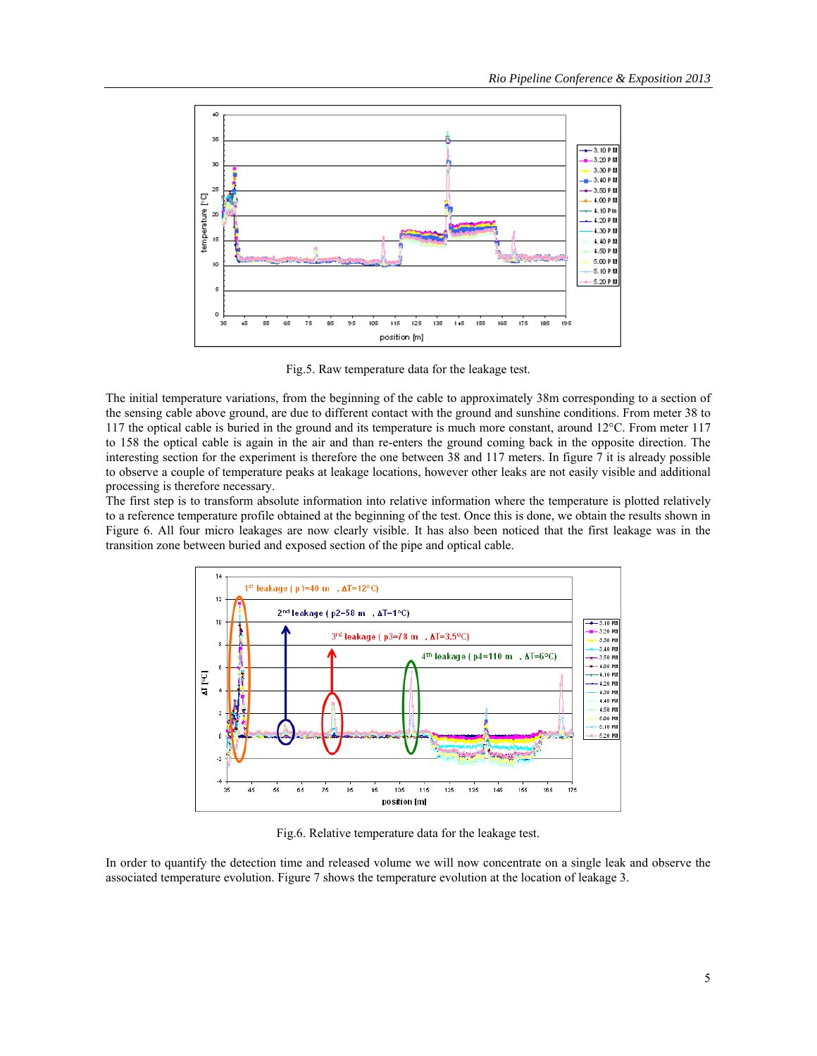

Fig.5. Raw temperature data for the leakage test.

The initial temperature variations, from the beginning of the cable to approximately 38m corresponding to a section of the sensing cable above ground, are due to different contact with the ground and sunshine conditions. From meter 38 to 117 the optical cable is buried in the ground and its temperature is much more constant, around 12°C. From meter 117 to 158 the optical cable is again in the air and than re-enters the ground coming back in the opposite direction. The interesting section for the experiment is therefore the one between 38 and 117 meters. In figure 7 it is already possible to observe a couple of temperature peaks at leakage locations, however other leaks are not easily visible and additional processing is therefore necessary.

The first step is to transform absolute information into relative information where the temperature is plotted relatively to a reference temperature profile obtained at the beginning of the test. Once this is done, we obtain the results shown in Figure 6. All four micro leakages are now clearly visible. It has also been noticed that the first leakage was in the transition zone between buried and exposed section of the pipe and optical cable.



Fig.6. Relative temperature data for the leakage test.

In order to quantify the detection time and released volume we will now concentrate on a single leak and observe the associated temperature evolution. Figure 7 shows the temperature evolution at the location of leakage 3.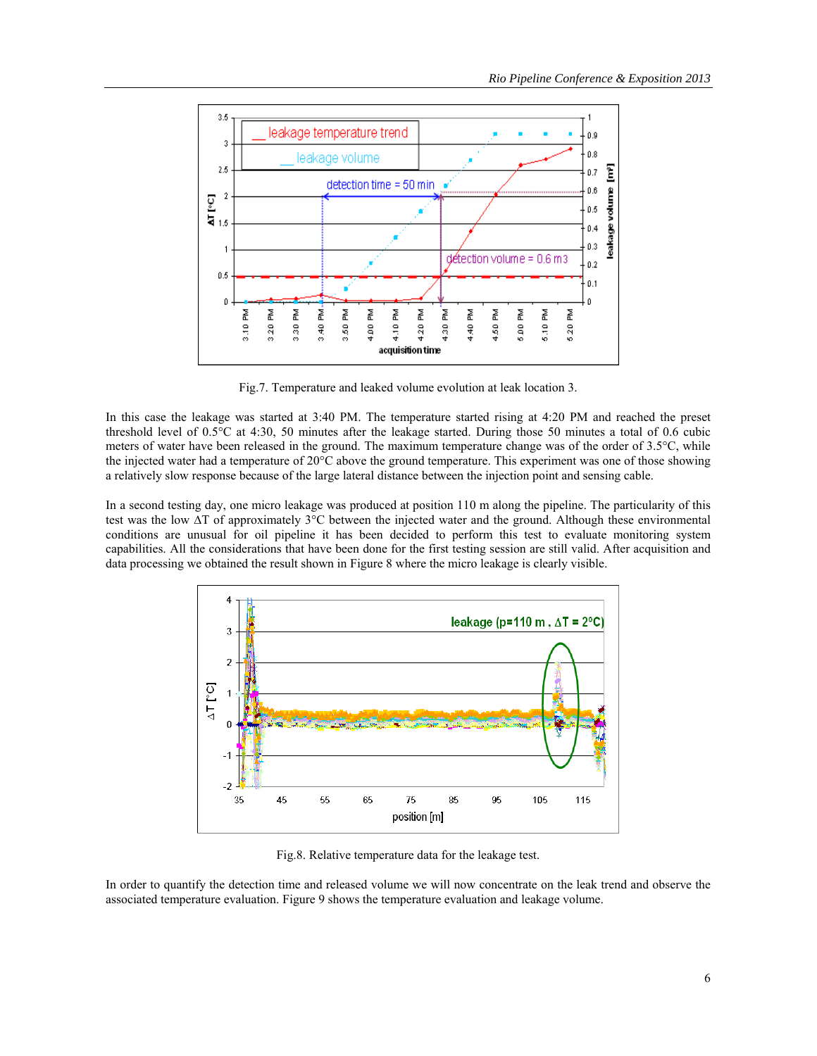

Fig.7. Temperature and leaked volume evolution at leak location 3.

In this case the leakage was started at 3:40 PM. The temperature started rising at 4:20 PM and reached the preset threshold level of 0.5°C at 4:30, 50 minutes after the leakage started. During those 50 minutes a total of 0.6 cubic meters of water have been released in the ground. The maximum temperature change was of the order of 3.5°C, while the injected water had a temperature of 20°C above the ground temperature. This experiment was one of those showing a relatively slow response because of the large lateral distance between the injection point and sensing cable.

In a second testing day, one micro leakage was produced at position 110 m along the pipeline. The particularity of this test was the low ∆T of approximately 3°C between the injected water and the ground. Although these environmental conditions are unusual for oil pipeline it has been decided to perform this test to evaluate monitoring system capabilities. All the considerations that have been done for the first testing session are still valid. After acquisition and data processing we obtained the result shown in Figure 8 where the micro leakage is clearly visible.



Fig.8. Relative temperature data for the leakage test.

In order to quantify the detection time and released volume we will now concentrate on the leak trend and observe the associated temperature evaluation. Figure 9 shows the temperature evaluation and leakage volume.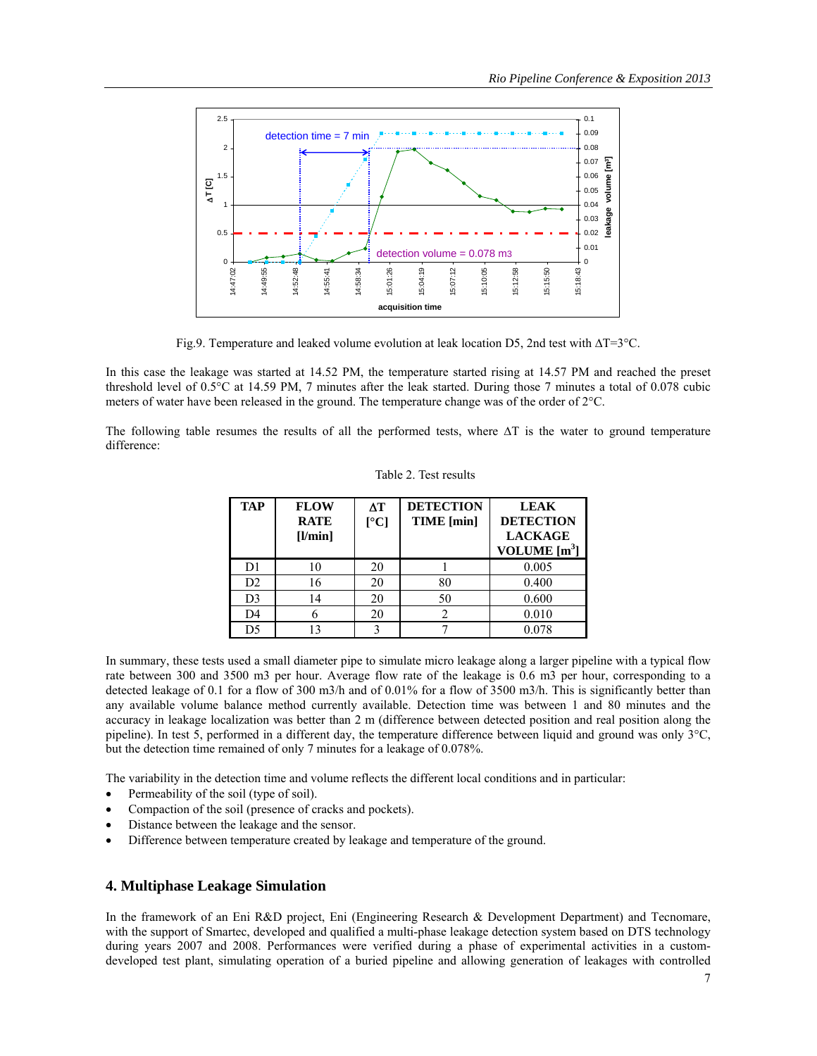

Fig.9. Temperature and leaked volume evolution at leak location D5, 2nd test with ∆T=3°C.

In this case the leakage was started at 14.52 PM, the temperature started rising at 14.57 PM and reached the preset threshold level of 0.5°C at 14.59 PM, 7 minutes after the leak started. During those 7 minutes a total of 0.078 cubic meters of water have been released in the ground. The temperature change was of the order of 2°C.

The following table resumes the results of all the performed tests, where ∆T is the water to ground temperature difference:

| <b>TAP</b>     | <b>FLOW</b><br><b>RATE</b><br>[1/min] | $\Delta T$<br>$\lceil$ <sup>o</sup> Cl | <b>DETECTION</b><br>TIME [min] | <b>LEAK</b><br><b>DETECTION</b><br><b>LACKAGE</b><br>VOLUME $[m^3]$ |
|----------------|---------------------------------------|----------------------------------------|--------------------------------|---------------------------------------------------------------------|
| D1             | 10                                    | 20                                     |                                | 0.005                                                               |
| D2             | 16                                    | 20                                     | 80                             | 0.400                                                               |
| D3             | 14                                    | 20                                     | 50                             | 0.600                                                               |
| D4             |                                       | 20                                     |                                | 0.010                                                               |
| D <sub>5</sub> | 13                                    |                                        |                                | 0.078                                                               |

| Table 2. Test results |
|-----------------------|
|-----------------------|

In summary, these tests used a small diameter pipe to simulate micro leakage along a larger pipeline with a typical flow rate between 300 and 3500 m3 per hour. Average flow rate of the leakage is 0.6 m3 per hour, corresponding to a detected leakage of 0.1 for a flow of 300 m3/h and of 0.01% for a flow of 3500 m3/h. This is significantly better than any available volume balance method currently available. Detection time was between 1 and 80 minutes and the accuracy in leakage localization was better than 2 m (difference between detected position and real position along the pipeline). In test 5, performed in a different day, the temperature difference between liquid and ground was only 3°C, but the detection time remained of only 7 minutes for a leakage of 0.078%.

The variability in the detection time and volume reflects the different local conditions and in particular:

- Permeability of the soil (type of soil).
- Compaction of the soil (presence of cracks and pockets).
- Distance between the leakage and the sensor.
- Difference between temperature created by leakage and temperature of the ground.

### **4. Multiphase Leakage Simulation**

In the framework of an Eni R&D project, Eni (Engineering Research & Development Department) and Tecnomare, with the support of Smartec, developed and qualified a multi-phase leakage detection system based on DTS technology during years 2007 and 2008. Performances were verified during a phase of experimental activities in a customdeveloped test plant, simulating operation of a buried pipeline and allowing generation of leakages with controlled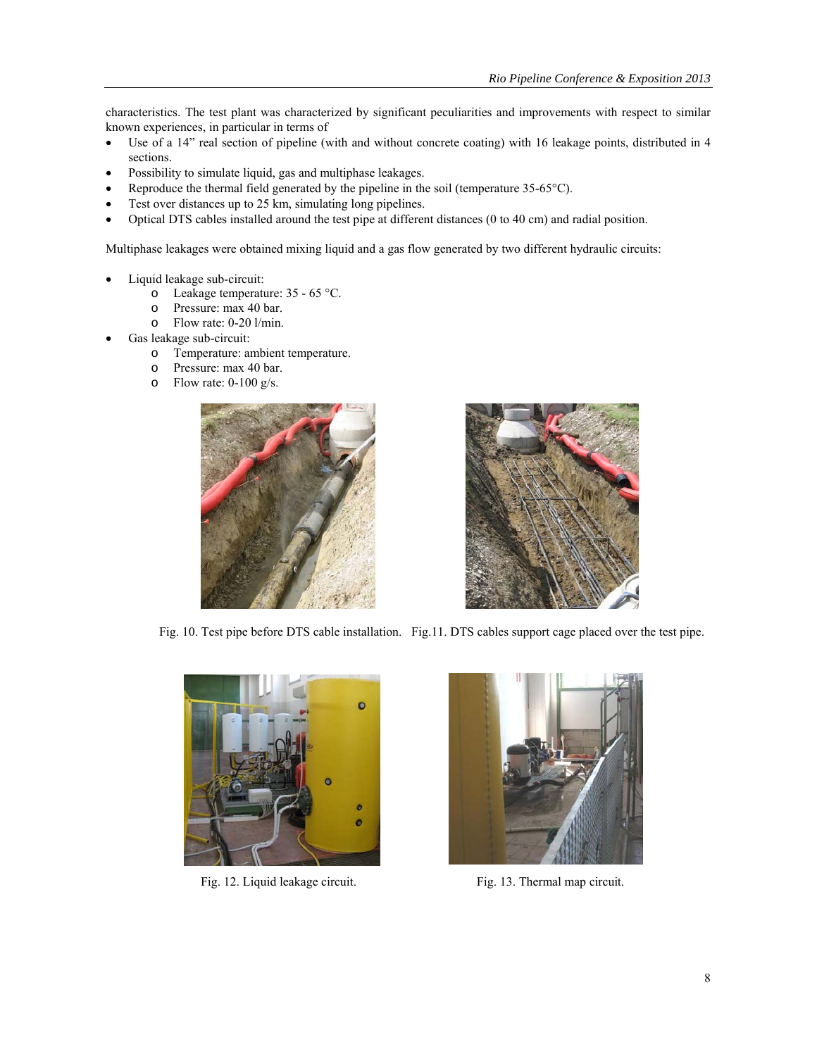characteristics. The test plant was characterized by significant peculiarities and improvements with respect to similar known experiences, in particular in terms of

- Use of a 14" real section of pipeline (with and without concrete coating) with 16 leakage points, distributed in 4 sections.
- Possibility to simulate liquid, gas and multiphase leakages.
- Reproduce the thermal field generated by the pipeline in the soil (temperature 35-65°C).
- Test over distances up to 25 km, simulating long pipelines.
- Optical DTS cables installed around the test pipe at different distances (0 to 40 cm) and radial position.

Multiphase leakages were obtained mixing liquid and a gas flow generated by two different hydraulic circuits:

- Liquid leakage sub-circuit:
	- o Leakage temperature: 35 65 °C.
	- o Pressure: max 40 bar.
	- o Flow rate: 0-20 l/min.
- Gas leakage sub-circuit:
	- o Temperature: ambient temperature.
	- o Pressure: max 40 bar.
	- $\circ$  Flow rate: 0-100 g/s.





Fig. 10. Test pipe before DTS cable installation. Fig.11. DTS cables support cage placed over the test pipe.



Fig. 12. Liquid leakage circuit. Fig. 13. Thermal map circuit.

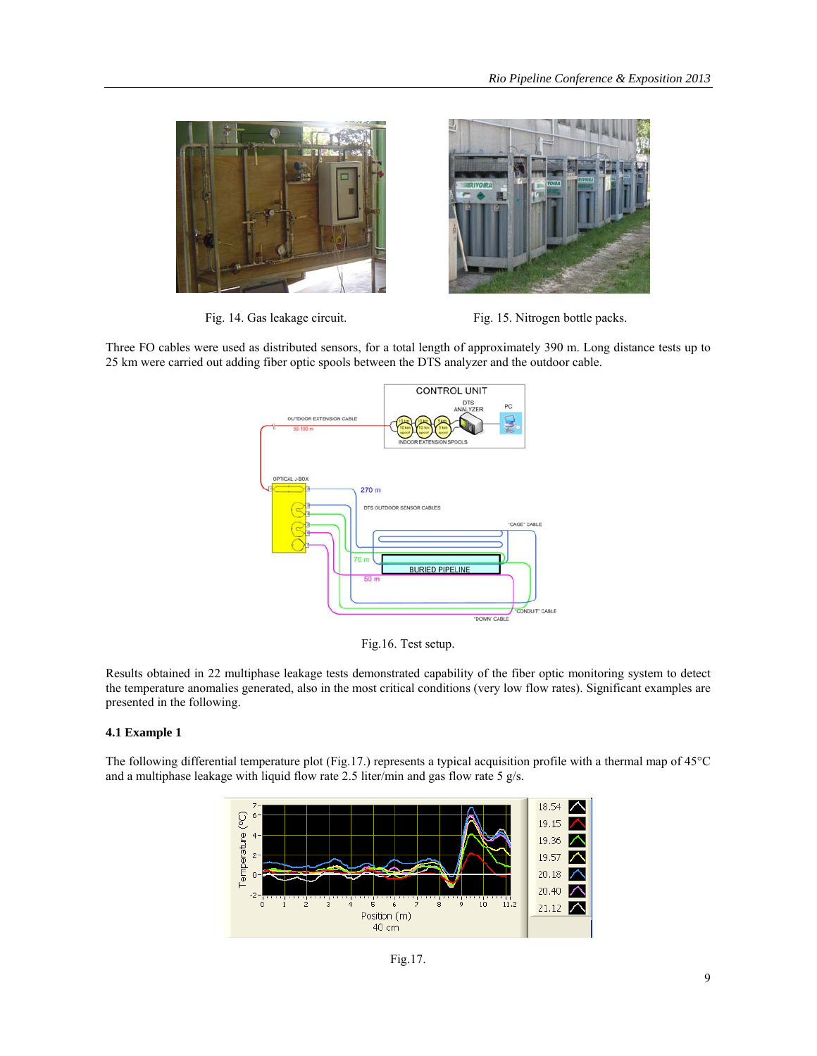



Fig. 14. Gas leakage circuit. Fig. 15. Nitrogen bottle packs.

Three FO cables were used as distributed sensors, for a total length of approximately 390 m. Long distance tests up to 25 km were carried out adding fiber optic spools between the DTS analyzer and the outdoor cable.



Fig.16. Test setup.

Results obtained in 22 multiphase leakage tests demonstrated capability of the fiber optic monitoring system to detect the temperature anomalies generated, also in the most critical conditions (very low flow rates). Significant examples are presented in the following.

#### **4.1 Example 1**

The following differential temperature plot (Fig.17.) represents a typical acquisition profile with a thermal map of 45°C and a multiphase leakage with liquid flow rate 2.5 liter/min and gas flow rate 5 g/s.

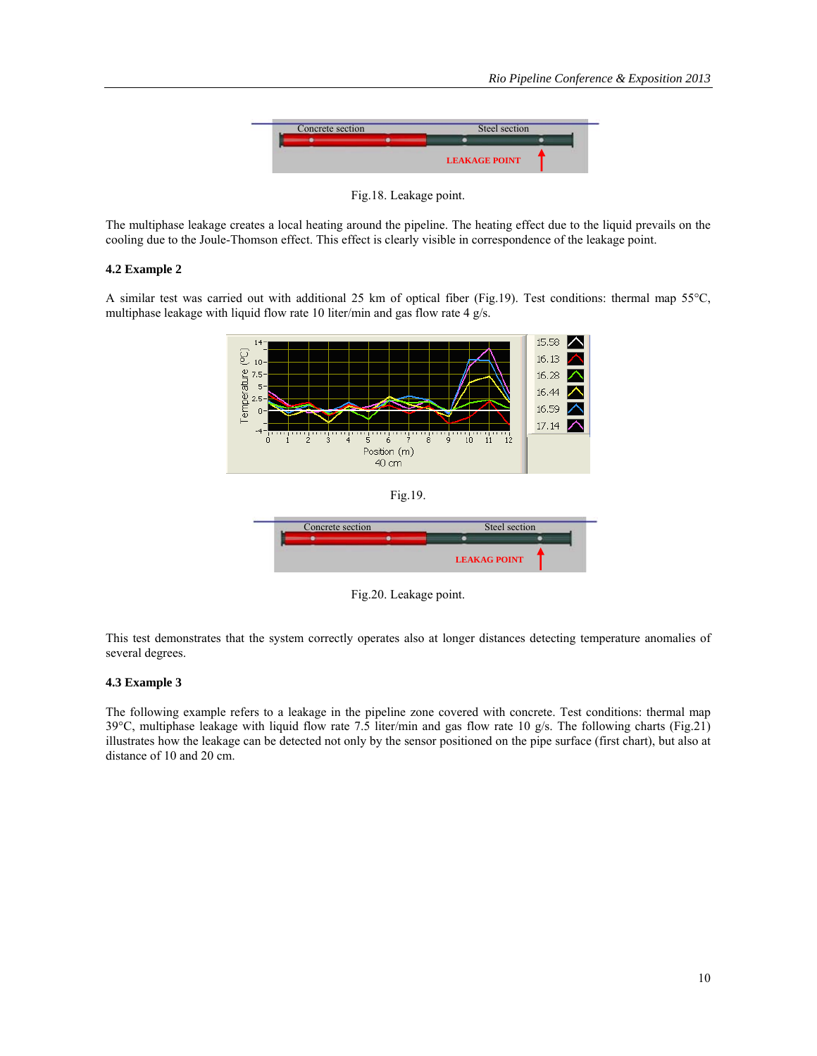

Fig.18. Leakage point.

The multiphase leakage creates a local heating around the pipeline. The heating effect due to the liquid prevails on the cooling due to the Joule-Thomson effect. This effect is clearly visible in correspondence of the leakage point.

#### **4.2 Example 2**

A similar test was carried out with additional 25 km of optical fiber (Fig.19). Test conditions: thermal map 55°C, multiphase leakage with liquid flow rate 10 liter/min and gas flow rate 4 g/s.





**LEAKAG POINT** 

This test demonstrates that the system correctly operates also at longer distances detecting temperature anomalies of several degrees.

#### **4.3 Example 3**

The following example refers to a leakage in the pipeline zone covered with concrete. Test conditions: thermal map 39°C, multiphase leakage with liquid flow rate 7.5 liter/min and gas flow rate 10 g/s. The following charts (Fig.21) illustrates how the leakage can be detected not only by the sensor positioned on the pipe surface (first chart), but also at distance of 10 and 20 cm.